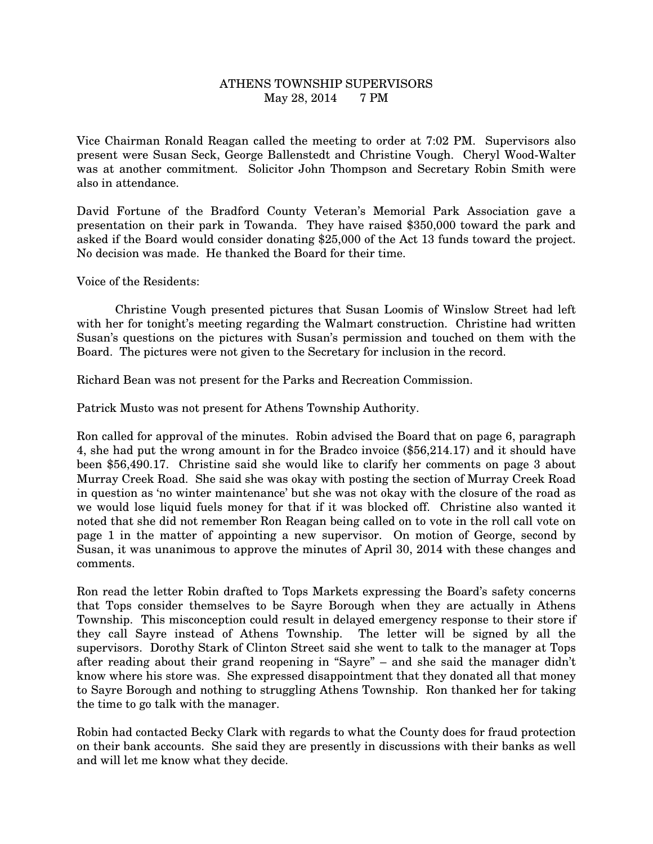## ATHENS TOWNSHIP SUPERVISORS May 28, 2014 7 PM

Vice Chairman Ronald Reagan called the meeting to order at 7:02 PM. Supervisors also present were Susan Seck, George Ballenstedt and Christine Vough. Cheryl Wood-Walter was at another commitment. Solicitor John Thompson and Secretary Robin Smith were also in attendance.

David Fortune of the Bradford County Veteran's Memorial Park Association gave a presentation on their park in Towanda. They have raised \$350,000 toward the park and asked if the Board would consider donating \$25,000 of the Act 13 funds toward the project. No decision was made. He thanked the Board for their time.

Voice of the Residents:

 Christine Vough presented pictures that Susan Loomis of Winslow Street had left with her for tonight's meeting regarding the Walmart construction. Christine had written Susan's questions on the pictures with Susan's permission and touched on them with the Board. The pictures were not given to the Secretary for inclusion in the record.

Richard Bean was not present for the Parks and Recreation Commission.

Patrick Musto was not present for Athens Township Authority.

Ron called for approval of the minutes. Robin advised the Board that on page 6, paragraph 4, she had put the wrong amount in for the Bradco invoice (\$56,214.17) and it should have been \$56,490.17. Christine said she would like to clarify her comments on page 3 about Murray Creek Road. She said she was okay with posting the section of Murray Creek Road in question as 'no winter maintenance' but she was not okay with the closure of the road as we would lose liquid fuels money for that if it was blocked off. Christine also wanted it noted that she did not remember Ron Reagan being called on to vote in the roll call vote on page 1 in the matter of appointing a new supervisor. On motion of George, second by Susan, it was unanimous to approve the minutes of April 30, 2014 with these changes and comments.

Ron read the letter Robin drafted to Tops Markets expressing the Board's safety concerns that Tops consider themselves to be Sayre Borough when they are actually in Athens Township. This misconception could result in delayed emergency response to their store if they call Sayre instead of Athens Township. The letter will be signed by all the supervisors. Dorothy Stark of Clinton Street said she went to talk to the manager at Tops after reading about their grand reopening in "Sayre" – and she said the manager didn't know where his store was. She expressed disappointment that they donated all that money to Sayre Borough and nothing to struggling Athens Township. Ron thanked her for taking the time to go talk with the manager.

Robin had contacted Becky Clark with regards to what the County does for fraud protection on their bank accounts. She said they are presently in discussions with their banks as well and will let me know what they decide.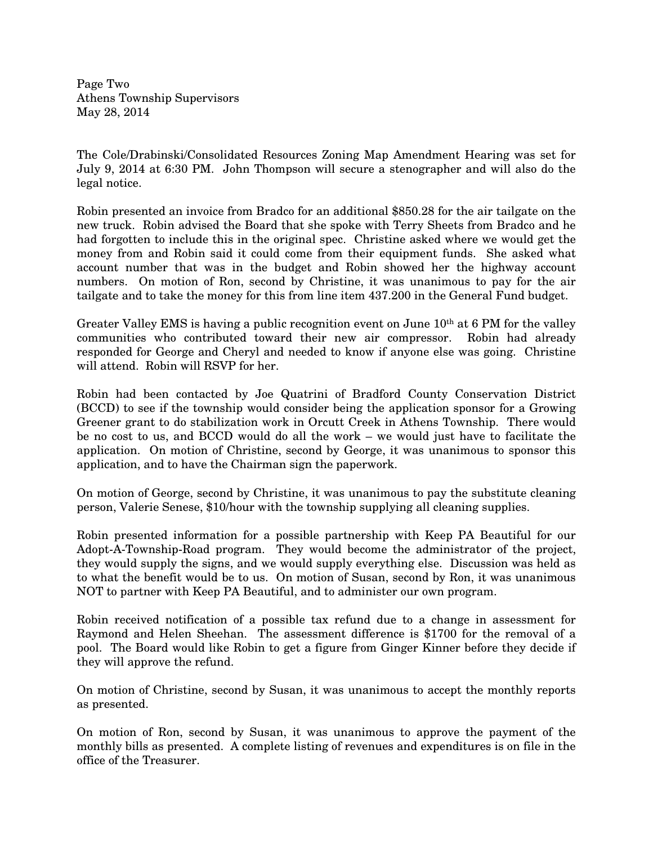Page Two Athens Township Supervisors May 28, 2014

The Cole/Drabinski/Consolidated Resources Zoning Map Amendment Hearing was set for July 9, 2014 at 6:30 PM. John Thompson will secure a stenographer and will also do the legal notice.

Robin presented an invoice from Bradco for an additional \$850.28 for the air tailgate on the new truck. Robin advised the Board that she spoke with Terry Sheets from Bradco and he had forgotten to include this in the original spec. Christine asked where we would get the money from and Robin said it could come from their equipment funds. She asked what account number that was in the budget and Robin showed her the highway account numbers. On motion of Ron, second by Christine, it was unanimous to pay for the air tailgate and to take the money for this from line item 437.200 in the General Fund budget.

Greater Valley EMS is having a public recognition event on June 10<sup>th</sup> at 6 PM for the valley communities who contributed toward their new air compressor. Robin had already responded for George and Cheryl and needed to know if anyone else was going. Christine will attend. Robin will RSVP for her.

Robin had been contacted by Joe Quatrini of Bradford County Conservation District (BCCD) to see if the township would consider being the application sponsor for a Growing Greener grant to do stabilization work in Orcutt Creek in Athens Township. There would be no cost to us, and BCCD would do all the work – we would just have to facilitate the application. On motion of Christine, second by George, it was unanimous to sponsor this application, and to have the Chairman sign the paperwork.

On motion of George, second by Christine, it was unanimous to pay the substitute cleaning person, Valerie Senese, \$10/hour with the township supplying all cleaning supplies.

Robin presented information for a possible partnership with Keep PA Beautiful for our Adopt-A-Township-Road program. They would become the administrator of the project, they would supply the signs, and we would supply everything else. Discussion was held as to what the benefit would be to us. On motion of Susan, second by Ron, it was unanimous NOT to partner with Keep PA Beautiful, and to administer our own program.

Robin received notification of a possible tax refund due to a change in assessment for Raymond and Helen Sheehan. The assessment difference is \$1700 for the removal of a pool. The Board would like Robin to get a figure from Ginger Kinner before they decide if they will approve the refund.

On motion of Christine, second by Susan, it was unanimous to accept the monthly reports as presented.

On motion of Ron, second by Susan, it was unanimous to approve the payment of the monthly bills as presented. A complete listing of revenues and expenditures is on file in the office of the Treasurer.